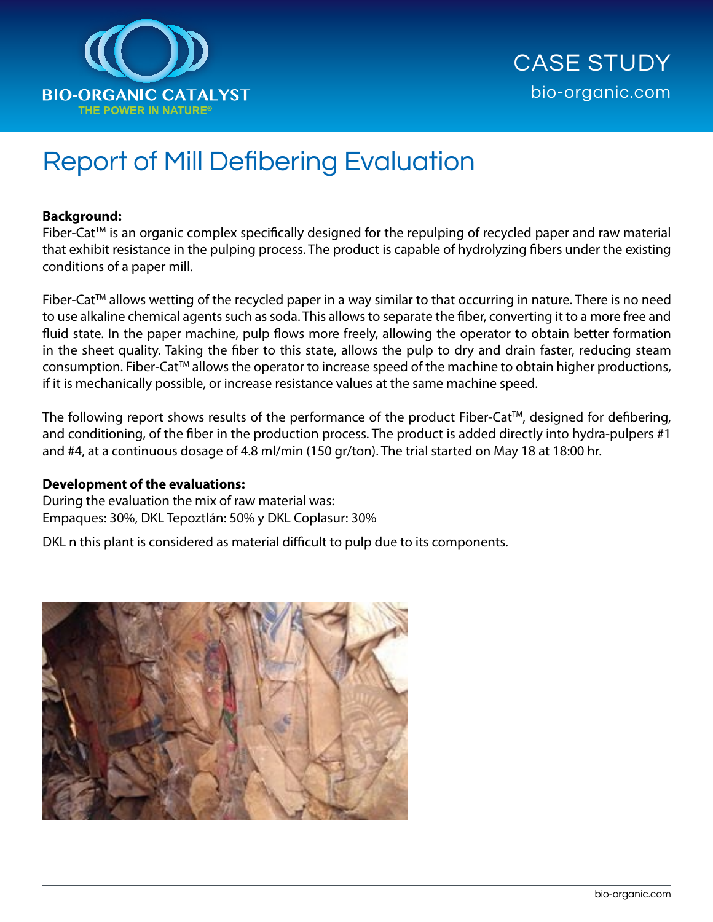

# Report of Mill Defibering Evaluation

### **Background:**

Fiber-Cat™ is an organic complex specifically designed for the repulping of recycled paper and raw material that exhibit resistance in the pulping process. The product is capable of hydrolyzing fibers under the existing conditions of a paper mill.

Fiber-Cat™ allows wetting of the recycled paper in a way similar to that occurring in nature. There is no need to use alkaline chemical agents such as soda. This allows to separate the fiber, converting it to a more free and fluid state. In the paper machine, pulp flows more freely, allowing the operator to obtain better formation in the sheet quality. Taking the fiber to this state, allows the pulp to dry and drain faster, reducing steam consumption. Fiber-Cat™ allows the operator to increase speed of the machine to obtain higher productions, if it is mechanically possible, or increase resistance values at the same machine speed.

The following report shows results of the performance of the product Fiber-Cat™, designed for defibering, and conditioning, of the fiber in the production process. The product is added directly into hydra-pulpers #1 and #4, at a continuous dosage of 4.8 ml/min (150 gr/ton). The trial started on May 18 at 18:00 hr.

#### **Development of the evaluations:**

During the evaluation the mix of raw material was: Empaques: 30%, DKL Tepoztlán: 50% y DKL Coplasur: 30%

DKL n this plant is considered as material difficult to pulp due to its components.

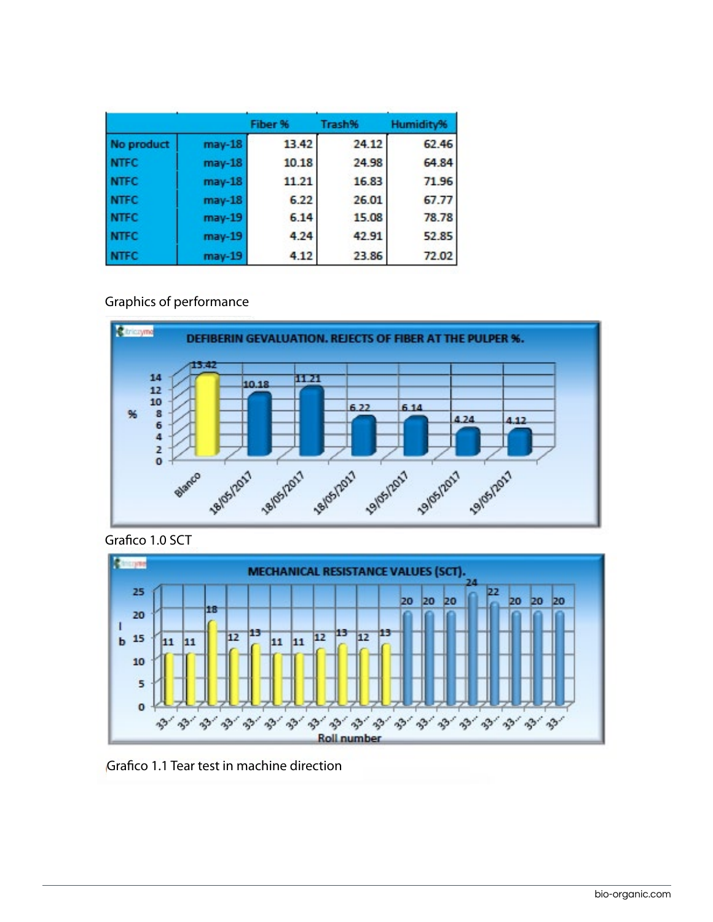|             |          | Fiber % | Trash% | Humidity% |
|-------------|----------|---------|--------|-----------|
| No product  | $may-18$ | 13.42   | 24.12  | 62.46     |
| <b>NTFC</b> | $may-18$ | 10.18   | 24.98  | 64.84     |
| <b>NTFC</b> | $may-18$ | 11.21   | 16.83  | 71.96     |
| <b>NTFC</b> | $may-18$ | 6.22    | 26.01  | 67.77     |
| <b>NTFC</b> | $may-19$ | 6.14    | 15.08  | 78.78     |
| <b>NTFC</b> | $may-19$ | 4.24    | 42.91  | 52.85     |
| <b>NTFC</b> | $may-19$ | 4.12    | 23.86  | 72.02     |

## Graphics of performance



Grafico 1.0 SCT



Grafico 1.1 Tear test in machine direction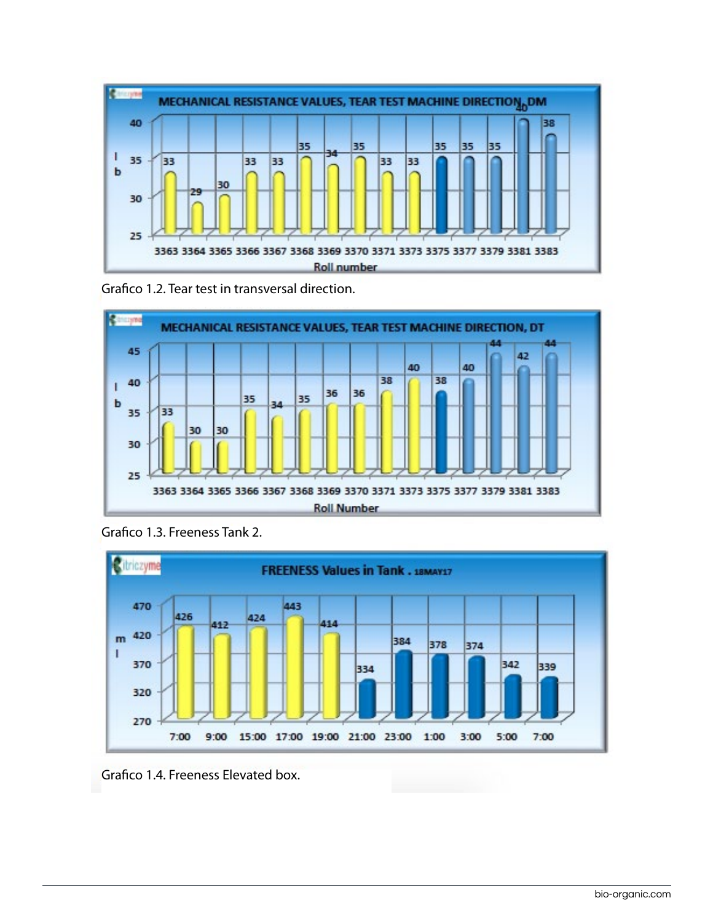

Grafico 1.2. Tear test in transversal direction.



Grafico 1.3. Freeness Tank 2.



Grafico 1.4. Freeness Elevated box.